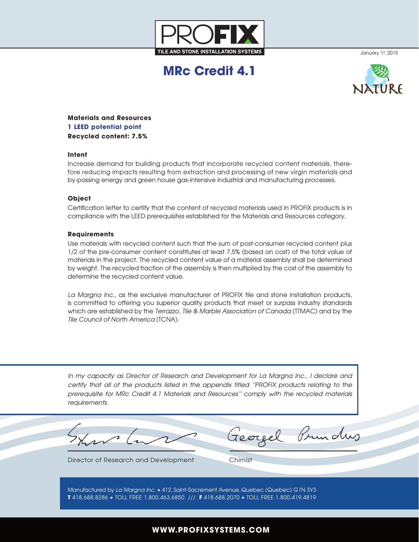

January 1st, 2015

# **MRc Credit 4.1**



**Materials and Resources 1 LEED potential point Recycled content: 7.5%**

### **Intent**

Increase demand for building products that incorporate recycled content materials, therefore reducing impacts resulting from extraction and processing of new virgin materials and by-passing energy and green house gas-intensive industrial and manufacturing processes.

#### **Object**

Certification letter to certify that the content of recycled materials used in PROFIX products is in compliance with the LEED prerequisites established for the Materials and Resources category.

#### **Requirements**

Use materials with recycled content such that the sum of post-consumer recycled content plus 1/2 of the pre-consumer content constitutes at least 7,5% (based on cost) of the total value of materials in the project. The recycled content value of a material assembly shall be determined by weight. The recycled fraction of the assembly is then multiplied by the cost of the assembly to determine the recycled content value.

*La Margna Inc.*, as the exclusive manufacturer of PROFIX tile and stone installation products, is committed to offering you superior quality products that meet or surpass industry standards which are established by the *Terrazzo, Tile & Marble Association of Canada* (TTMAC) and by the *Tile Council of North America* (TCNA).

*In my capacity as Director of Research and Development for La Margna Inc., I declare and certify that all of the products listed in the appendix titled ''PROFIX products relating to the prerequisite for MRc Credit 4.1 Materials and Resources'' comply with the recycled materials requirements.*

Georgel Prunding

Director of Research and Development Chimist

Manufactured by *La Margna Inc.* • 412, Saint-Sacrement Avenue, Quebec (Quebec) G1N 3Y3 **T** 418.688.8286 • TOLL FREE 1.800.463.6850 /// **F** 418.688.2070 • TOLL FREE 1.800.419.4819

## **WWW.PROFIXSYSTEMS.COM**